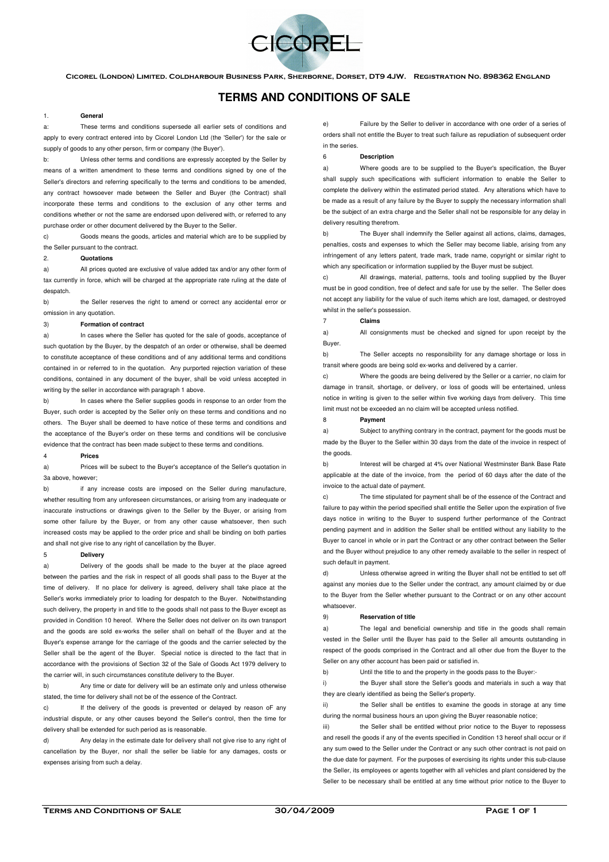

Cicorel (London) Limited. Coldharbour Business Park, Sherborne, Dorset, DT9 4JW. Registration No. 898362 England

# **TERMS AND CONDITIONS OF SALE**

## 1. **General**

These terms and conditions supersede all earlier sets of conditions and apply to every contract entered into by Cicorel London Ltd (the 'Seller') for the sale or supply of goods to any other person, firm or company (the Buyer').

b: Unless other terms and conditions are expressly accepted by the Seller by means of a written amendment to these terms and conditions signed by one of the Seller's directors and referring specifically to the terms and conditions to be amended, any contract howsoever made between the Seller and Buyer (the Contract) shall incorporate these terms and conditions to the exclusion of any other terms and conditions whether or not the same are endorsed upon delivered with, or referred to any purchase order or other document delivered by the Buyer to the Seller.

c) Goods means the goods, articles and material which are to be supplied by the Seller pursuant to the contract.

#### 2. **Quotations**

All prices quoted are exclusive of value added tax and/or any other form of tax currently in force, which will be charged at the appropriate rate ruling at the date of despatch

b) the Seller reserves the right to amend or correct any accidental error or omission in any quotation.

#### 3) **Formation of contract**

a) In cases where the Seller has quoted for the sale of goods, acceptance of such quotation by the Buyer, by the despatch of an order or otherwise, shall be deemed to constitute acceptance of these conditions and of any additional terms and conditions contained in or referred to in the quotation. Any purported rejection variation of these conditions, contained in any document of the buyer, shall be void unless accepted in writing by the seller in accordance with paragraph 1 above.

b) In cases where the Seller supplies goods in response to an order from the Buyer, such order is accepted by the Seller only on these terms and conditions and no others. The Buyer shall be deemed to have notice of these terms and conditions and the acceptance of the Buyer's order on these terms and conditions will be conclusive evidence that the contract has been made subject to these terms and conditions.

#### 4 **Prices**

a) Prices will be subect to the Buyer's acceptance of the Seller's quotation in 3a above, however;

b) if any increase costs are imposed on the Seller during manufacture, whether resulting from any unforeseen circumstances, or arising from any inadequate or inaccurate instructions or drawings given to the Seller by the Buyer, or arising from some other failure by the Buyer, or from any other cause whatsoever, then such increased costs may be applied to the order price and shall be binding on both parties and shall not give rise to any right of cancellation by the Buyer.

### 5 **Delivery**

Delivery of the goods shall be made to the buyer at the place agreed between the parties and the risk in respect of all goods shall pass to the Buyer at the time of delivery. If no place for delivery is agreed, delivery shall take place at the Seller's works immediately prior to loading for despatch to the Buyer. Notwithstanding such delivery, the property in and title to the goods shall not pass to the Buyer except as provided in Condition 10 hereof. Where the Seller does not deliver on its own transport and the goods are sold ex-works the seller shall on behalf of the Buyer and at the Buyer's expense arrange for the carriage of the goods and the carrier selected by the Seller shall be the agent of the Buyer. Special notice is directed to the fact that in accordance with the provisions of Section 32 of the Sale of Goods Act 1979 delivery to the carrier will, in such circumstances constitute delivery to the Buyer.

b) Any time or date for delivery will be an estimate only and unless otherwise stated, the time for delivery shall not be of the essence of the Contract.

c) If the delivery of the goods is prevented or delayed by reason oF any industrial dispute, or any other causes beyond the Seller's control, then the time for delivery shall be extended for such period as is reasonable.

Any delay in the estimate date for delivery shall not give rise to any right of cancellation by the Buyer, nor shall the seller be liable for any damages, costs or expenses arising from such a delay.

e) Failure by the Seller to deliver in accordance with one order of a series of orders shall not entitle the Buyer to treat such failure as repudiation of subsequent order in the series.

#### 6 **Description**

a) Where goods are to be supplied to the Buyer's specification, the Buyer shall supply such specifications with sufficient information to enable the Seller to complete the delivery within the estimated period stated. Any alterations which have to be made as a result of any failure by the Buyer to supply the necessary information shall be the subject of an extra charge and the Seller shall not be responsible for any delay in delivery resulting therefrom.

b) The Buyer shall indemnify the Seller against all actions, claims, damages, penalties, costs and expenses to which the Seller may become liable, arising from any infringement of any letters patent, trade mark, trade name, copyright or similar right to which any specification or information supplied by the Buyer must be subject.

c) All drawings, material, patterns, tools and tooling supplied by the Buyer must be in good condition, free of defect and safe for use by the seller. The Seller does not accept any liability for the value of such items which are lost, damaged, or destroyed whilst in the seller's possession.

# 7 **Claims**

a) All consignments must be checked and signed for upon receipt by the Buyer.

b) The Seller accepts no responsibility for any damage shortage or loss in transit where goods are being sold ex-works and delivered by a carrier.

c) Where the goods are being delivered by the Seller or a carrier, no claim for damage in transit, shortage, or delivery, or loss of goods will be entertained, unless notice in writing is given to the seller within five working days from delivery. This time limit must not be exceeded an no claim will be accepted unless notified.

#### 8 **Payment**

Subject to anything contrary in the contract, payment for the goods must be made by the Buyer to the Seller within 30 days from the date of the invoice in respect of the goods

b) Interest will be charged at 4% over National Westminster Bank Base Rate applicable at the date of the invoice, from the period of 60 days after the date of the invoice to the actual date of payment.

c) The time stipulated for payment shall be of the essence of the Contract and failure to pay within the period specified shall entitle the Seller upon the expiration of five days notice in writing to the Buyer to suspend further performance of the Contract pending payment and in addition the Seller shall be entitled without any liability to the Buyer to cancel in whole or in part the Contract or any other contract between the Seller and the Buyer without prejudice to any other remedy available to the seller in respect of such default in payment.

Unless otherwise agreed in writing the Buyer shall not be entitled to set off against any monies due to the Seller under the contract, any amount claimed by or due to the Buyer from the Seller whether pursuant to the Contract or on any other account whatsoever.

# 9) **Reservation of title**

a) The legal and beneficial ownership and title in the goods shall remain vested in the Seller until the Buyer has paid to the Seller all amounts outstanding in respect of the goods comprised in the Contract and all other due from the Buyer to the Seller on any other account has been paid or satisfied in.

b) Until the title to and the property in the goods pass to the Buyer:-

i) the Buyer shall store the Seller's goods and materials in such a way that they are clearly identified as being the Seller's property.

ii) the Seller shall be entitles to examine the goods in storage at any time during the normal business hours an upon giving the Buyer reasonable notice;

iii) the Seller shall be entitled without prior notice to the Buyer to repossess and resell the goods if any of the events specified in Condition 13 hereof shall occur or if any sum owed to the Seller under the Contract or any such other contract is not paid on the due date for payment. For the purposes of exercising its rights under this sub-clause the Seller, its employees or agents together with all vehicles and plant considered by the Seller to be necessary shall be entitled at any time without prior notice to the Buyer to